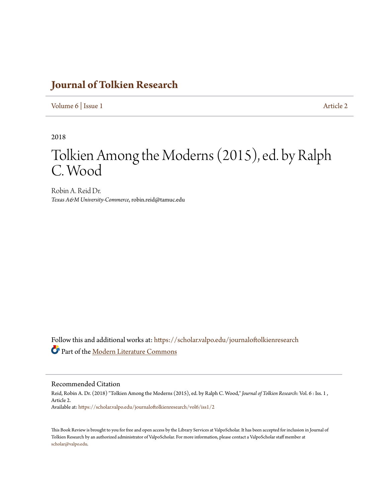## **[Journal of Tolkien Research](https://scholar.valpo.edu/journaloftolkienresearch?utm_source=scholar.valpo.edu%2Fjournaloftolkienresearch%2Fvol6%2Fiss1%2F2&utm_medium=PDF&utm_campaign=PDFCoverPages)**

[Volume 6](https://scholar.valpo.edu/journaloftolkienresearch/vol6?utm_source=scholar.valpo.edu%2Fjournaloftolkienresearch%2Fvol6%2Fiss1%2F2&utm_medium=PDF&utm_campaign=PDFCoverPages) | [Issue 1](https://scholar.valpo.edu/journaloftolkienresearch/vol6/iss1?utm_source=scholar.valpo.edu%2Fjournaloftolkienresearch%2Fvol6%2Fiss1%2F2&utm_medium=PDF&utm_campaign=PDFCoverPages) [Article 2](https://scholar.valpo.edu/journaloftolkienresearch/vol6/iss1/2?utm_source=scholar.valpo.edu%2Fjournaloftolkienresearch%2Fvol6%2Fiss1%2F2&utm_medium=PDF&utm_campaign=PDFCoverPages)

2018

## Tolkien Among the Moderns (2015), ed. by Ralph C. Wood

Robin A. Reid Dr. *Texas A&M University-Commerce*, robin.reid@tamuc.edu

Follow this and additional works at: [https://scholar.valpo.edu/journaloftolkienresearch](https://scholar.valpo.edu/journaloftolkienresearch?utm_source=scholar.valpo.edu%2Fjournaloftolkienresearch%2Fvol6%2Fiss1%2F2&utm_medium=PDF&utm_campaign=PDFCoverPages) Part of the [Modern Literature Commons](http://network.bepress.com/hgg/discipline/1050?utm_source=scholar.valpo.edu%2Fjournaloftolkienresearch%2Fvol6%2Fiss1%2F2&utm_medium=PDF&utm_campaign=PDFCoverPages)

Recommended Citation

Reid, Robin A. Dr. (2018) "Tolkien Among the Moderns (2015), ed. by Ralph C. Wood," *Journal of Tolkien Research*: Vol. 6 : Iss. 1 , Article 2. Available at: [https://scholar.valpo.edu/journaloftolkienresearch/vol6/iss1/2](https://scholar.valpo.edu/journaloftolkienresearch/vol6/iss1/2?utm_source=scholar.valpo.edu%2Fjournaloftolkienresearch%2Fvol6%2Fiss1%2F2&utm_medium=PDF&utm_campaign=PDFCoverPages)

This Book Review is brought to you for free and open access by the Library Services at ValpoScholar. It has been accepted for inclusion in Journal of Tolkien Research by an authorized administrator of ValpoScholar. For more information, please contact a ValpoScholar staff member at [scholar@valpo.edu.](mailto:scholar@valpo.edu)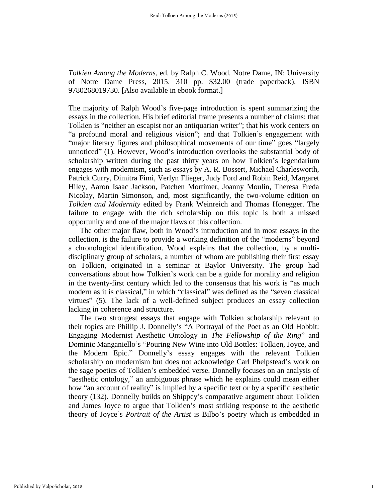*Tolkien Among the Moderns*, ed. by Ralph C. Wood. Notre Dame, IN: University of Notre Dame Press, 2015. 310 pp. \$32.00 (trade paperback). ISBN 9780268019730. [Also available in ebook format.]

The majority of Ralph Wood's five-page introduction is spent summarizing the essays in the collection. His brief editorial frame presents a number of claims: that Tolkien is "neither an escapist nor an antiquarian writer"; that his work centers on "a profound moral and religious vision"; and that Tolkien's engagement with "major literary figures and philosophical movements of our time" goes "largely unnoticed" (1). However, Wood's introduction overlooks the substantial body of scholarship written during the past thirty years on how Tolkien's legendarium engages with modernism, such as essays by A. R. Bossert, Michael Charlesworth, Patrick Curry, Dimitra Fimi, Verlyn Flieger, Judy Ford and Robin Reid, Margaret Hiley, Aaron Isaac Jackson, Patchen Mortimer, Joanny Moulin, Theresa Freda Nicolay, Martin Simonson, and, most significantly, the two-volume edition on *Tolkien and Modernity* edited by Frank Weinreich and Thomas Honegger. The failure to engage with the rich scholarship on this topic is both a missed opportunity and one of the major flaws of this collection.

The other major flaw, both in Wood's introduction and in most essays in the collection, is the failure to provide a working definition of the "moderns" beyond a chronological identification. Wood explains that the collection, by a multidisciplinary group of scholars, a number of whom are publishing their first essay on Tolkien, originated in a seminar at Baylor University. The group had conversations about how Tolkien's work can be a guide for morality and religion in the twenty-first century which led to the consensus that his work is "as much modern as it is classical," in which "classical" was defined as the "seven classical virtues" (5). The lack of a well-defined subject produces an essay collection lacking in coherence and structure.

The two strongest essays that engage with Tolkien scholarship relevant to their topics are Phillip J. Donnelly's "A Portrayal of the Poet as an Old Hobbit: Engaging Modernist Aesthetic Ontology in *The Fellowship of the Ring*" and Dominic Manganiello's "Pouring New Wine into Old Bottles: Tolkien, Joyce, and the Modern Epic." Donnelly's essay engages with the relevant Tolkien scholarship on modernism but does not acknowledge Carl Phelpstead's work on the sage poetics of Tolkien's embedded verse. Donnelly focuses on an analysis of "aesthetic ontology," an ambiguous phrase which he explains could mean either how "an account of reality" is implied by a specific text or by a specific aesthetic theory (132). Donnelly builds on Shippey's comparative argument about Tolkien and James Joyce to argue that Tolkien's most striking response to the aesthetic theory of Joyce's *Portrait of the Artist* is Bilbo's poetry which is embedded in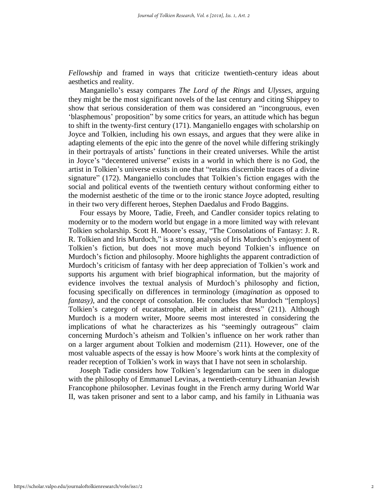*Fellowship* and framed in ways that criticize twentieth-century ideas about aesthetics and reality.

Manganiello's essay compares *The Lord of the Rings* and *Ulysses*, arguing they might be the most significant novels of the last century and citing Shippey to show that serious consideration of them was considered an "incongruous, even 'blasphemous' proposition" by some critics for years, an attitude which has begun to shift in the twenty-first century (171). Manganiello engages with scholarship on Joyce and Tolkien, including his own essays, and argues that they were alike in adapting elements of the epic into the genre of the novel while differing strikingly in their portrayals of artists' functions in their created universes. While the artist in Joyce's "decentered universe" exists in a world in which there is no God, the artist in Tolkien's universe exists in one that "retains discernible traces of a divine signature" (172). Manganiello concludes that Tolkien's fiction engages with the social and political events of the twentieth century without conforming either to the modernist aesthetic of the time or to the ironic stance Joyce adopted, resulting in their two very different heroes, Stephen Daedalus and Frodo Baggins.

Four essays by Moore, Tadie, Freeh, and Candler consider topics relating to modernity or to the modern world but engage in a more limited way with relevant Tolkien scholarship. Scott H. Moore's essay, "The Consolations of Fantasy: J. R. R. Tolkien and Iris Murdoch," is a strong analysis of Iris Murdoch's enjoyment of Tolkien's fiction, but does not move much beyond Tolkien's influence on Murdoch's fiction and philosophy. Moore highlights the apparent contradiction of Murdoch's criticism of fantasy with her deep appreciation of Tolkien's work and supports his argument with brief biographical information, but the majority of evidence involves the textual analysis of Murdoch's philosophy and fiction, focusing specifically on differences in terminology (*imagination* as opposed to *fantasy)*, and the concept of consolation. He concludes that Murdoch "[employs] Tolkien's category of eucatastrophe, albeit in atheist dress" (211). Although Murdoch is a modern writer, Moore seems most interested in considering the implications of what he characterizes as his "seemingly outrageous" claim concerning Murdoch's atheism and Tolkien's influence on her work rather than on a larger argument about Tolkien and modernism (211). However, one of the most valuable aspects of the essay is how Moore's work hints at the complexity of reader reception of Tolkien's work in ways that I have not seen in scholarship.

Joseph Tadie considers how Tolkien's legendarium can be seen in dialogue with the philosophy of Emmanuel Levinas, a twentieth-century Lithuanian Jewish Francophone philosopher. Levinas fought in the French army during World War II, was taken prisoner and sent to a labor camp, and his family in Lithuania was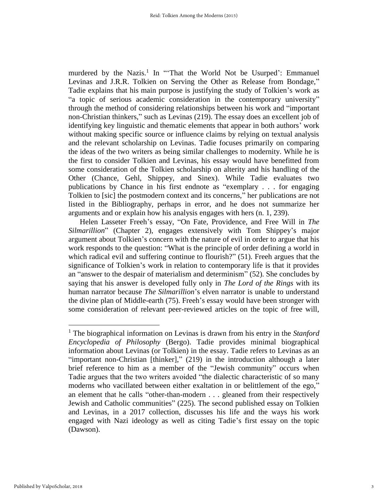murdered by the Nazis.<sup>1</sup> In "That the World Not be Usurped': Emmanuel Levinas and J.R.R. Tolkien on Serving the Other as Release from Bondage," Tadie explains that his main purpose is justifying the study of Tolkien's work as "a topic of serious academic consideration in the contemporary university" through the method of considering relationships between his work and "important non-Christian thinkers," such as Levinas (219). The essay does an excellent job of identifying key linguistic and thematic elements that appear in both authors' work without making specific source or influence claims by relying on textual analysis and the relevant scholarship on Levinas. Tadie focuses primarily on comparing the ideas of the two writers as being similar challenges to modernity. While he is the first to consider Tolkien and Levinas, his essay would have benefitted from some consideration of the Tolkien scholarship on alterity and his handling of the Other (Chance, Gehl, Shippey, and Sinex). While Tadie evaluates two publications by Chance in his first endnote as "exemplary . . . for engaging Tolkien to [sic] the postmodern context and its concerns," her publications are not listed in the Bibliography, perhaps in error, and he does not summarize her arguments and or explain how his analysis engages with hers (n. 1, 239).

Helen Lasseter Freeh's essay, "On Fate, Providence, and Free Will in *The Silmarillion*" (Chapter 2), engages extensively with Tom Shippey's major argument about Tolkien's concern with the nature of evil in order to argue that his work responds to the question: "What is the principle of order defining a world in which radical evil and suffering continue to flourish?" (51). Freeh argues that the significance of Tolkien's work in relation to contemporary life is that it provides an "answer to the despair of materialism and determinism" (52). She concludes by saying that his answer is developed fully only in *The Lord of the Rings* with its human narrator because *The Silmarillion*'s elven narrator is unable to understand the divine plan of Middle-earth (75). Freeh's essay would have been stronger with some consideration of relevant peer-reviewed articles on the topic of free will,

 $\overline{a}$ 

<sup>1</sup> The biographical information on Levinas is drawn from his entry in the *Stanford Encyclopedia of Philosophy* (Bergo). Tadie provides minimal biographical information about Levinas (or Tolkien) in the essay. Tadie refers to Levinas as an "important non-Christian [thinker]," (219) in the introduction although a later brief reference to him as a member of the "Jewish community" occurs when Tadie argues that the two writers avoided "the dialectic characteristic of so many moderns who vacillated between either exaltation in or belittlement of the ego," an element that he calls "other-than-modern . . . gleaned from their respectively Jewish and Catholic communities" (225). The second published essay on Tolkien and Levinas, in a 2017 collection, discusses his life and the ways his work engaged with Nazi ideology as well as citing Tadie's first essay on the topic (Dawson).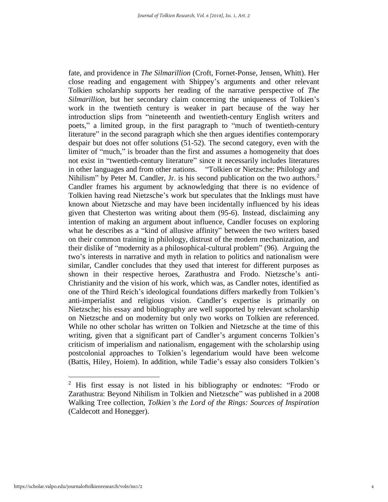fate, and providence in *The Silmarillion* (Croft, Fornet-Ponse, Jensen, Whitt). Her close reading and engagement with Shippey's arguments and other relevant Tolkien scholarship supports her reading of the narrative perspective of *The Silmarillion*, but her secondary claim concerning the uniqueness of Tolkien's work in the twentieth century is weaker in part because of the way her introduction slips from "nineteenth and twentieth-century English writers and poets," a limited group, in the first paragraph to "much of twentieth-century literature" in the second paragraph which she then argues identifies contemporary despair but does not offer solutions (51-52). The second category, even with the limiter of "much," is broader than the first and assumes a homogeneity that does not exist in "twentieth-century literature" since it necessarily includes literatures in other languages and from other nations. "Tolkien or Nietzsche: Philology and Nihilism" by Peter M. Candler, Jr. is his second publication on the two authors.<sup>2</sup> Candler frames his argument by acknowledging that there is no evidence of Tolkien having read Nietzsche's work but speculates that the Inklings must have known about Nietzsche and may have been incidentally influenced by his ideas given that Chesterton was writing about them (95-6). Instead, disclaiming any intention of making an argument about influence, Candler focuses on exploring what he describes as a "kind of allusive affinity" between the two writers based on their common training in philology, distrust of the modern mechanization, and their dislike of "modernity as a philosophical-cultural problem" (96). Arguing the two's interests in narrative and myth in relation to politics and nationalism were similar, Candler concludes that they used that interest for different purposes as shown in their respective heroes, Zarathustra and Frodo. Nietzsche's anti-Christianity and the vision of his work, which was, as Candler notes, identified as one of the Third Reich's ideological foundations differs markedly from Tolkien's anti-imperialist and religious vision. Candler's expertise is primarily on Nietzsche; his essay and bibliography are well supported by relevant scholarship on Nietzsche and on modernity but only two works on Tolkien are referenced. While no other scholar has written on Tolkien and Nietzsche at the time of this writing, given that a significant part of Candler's argument concerns Tolkien's criticism of imperialism and nationalism, engagement with the scholarship using postcolonial approaches to Tolkien's legendarium would have been welcome (Battis, Hiley, Hoiem). In addition, while Tadie's essay also considers Tolkien's

 $\overline{a}$ 

<sup>&</sup>lt;sup>2</sup> His first essay is not listed in his bibliography or endnotes: "Frodo or Zarathustra: Beyond Nihilism in Tolkien and Nietzsche" was published in a 2008 Walking Tree collection, *Tolkien's the Lord of the Rings: Sources of Inspiration* (Caldecott and Honegger).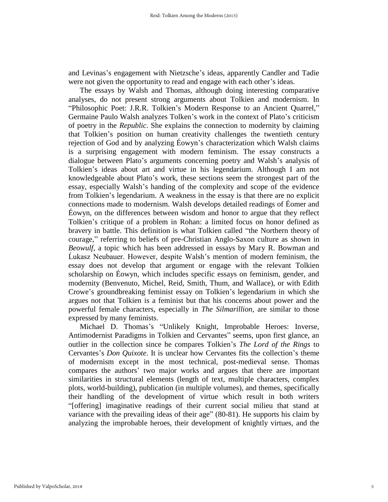and Levinas's engagement with Nietzsche's ideas, apparently Candler and Tadie were not given the opportunity to read and engage with each other's ideas.

The essays by Walsh and Thomas, although doing interesting comparative analyses, do not present strong arguments about Tolkien and modernism. In "Philosophic Poet: J.R.R. Tolkien's Modern Response to an Ancient Quarrel," Germaine Paulo Walsh analyzes Tolken's work in the context of Plato's criticism of poetry in the *Republic*. She explains the connection to modernity by claiming that Tolkien's position on human creativity challenges the twentieth century rejection of God and by analyzing Éowyn's characterization which Walsh claims is a surprising engagement with modern feminism. The essay constructs a dialogue between Plato's arguments concerning poetry and Walsh's analysis of Tolkien's ideas about art and virtue in his legendarium. Although I am not knowledgeable about Plato's work, these sections seem the strongest part of the essay, especially Walsh's handing of the complexity and scope of the evidence from Tolkien's legendarium. A weakness in the essay is that there are no explicit connections made to modernism. Walsh develops detailed readings of Éomer and Éowyn, on the differences between wisdom and honor to argue that they reflect Tolkien's critique of a problem in Rohan: a limited focus on honor defined as bravery in battle. This definition is what Tolkien called "the Northern theory of courage," referring to beliefs of pre-Christian Anglo-Saxon culture as shown in *Beowulf*, a topic which has been addressed in essays by Mary R. Bowman and Ĺukasz Neubauer. However, despite Walsh's mention of modern feminism, the essay does not develop that argument or engage with the relevant Tolkien scholarship on Éowyn, which includes specific essays on feminism, gender, and modernity (Benvenuto, Michel, Reid, Smith, Thum, and Wallace), or with Edith Crowe's groundbreaking feminist essay on Tolkien's legendarium in which she argues not that Tolkien is a feminist but that his concerns about power and the powerful female characters, especially in *The Silmarillion*, are similar to those expressed by many feminists.

Michael D. Thomas's "Unlikely Knight, Improbable Heroes: Inverse, Antimodernist Paradigms in Tolkien and Cervantes" seems, upon first glance, an outlier in the collection since he compares Tolkien's *The Lord of the Rings* to Cervantes's *Don Quixote*. It is unclear how Cervantes fits the collection's theme of modernism except in the most technical, post-medieval sense. Thomas compares the authors' two major works and argues that there are important similarities in structural elements (length of text, multiple characters, complex plots, world-building), publication (in multiple volumes), and themes, specifically their handling of the development of virtue which result in both writers "[offering] imaginative readings of their current social milieu that stand at variance with the prevailing ideas of their age" (80-81). He supports his claim by analyzing the improbable heroes, their development of knightly virtues, and the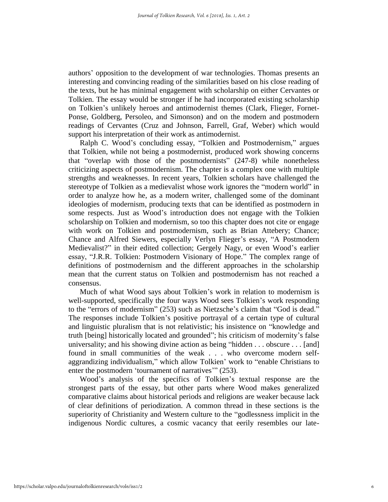authors' opposition to the development of war technologies. Thomas presents an interesting and convincing reading of the similarities based on his close reading of the texts, but he has minimal engagement with scholarship on either Cervantes or Tolkien. The essay would be stronger if he had incorporated existing scholarship on Tolkien's unlikely heroes and antimodernist themes (Clark, Flieger, Fornet-Ponse, Goldberg, Persoleo, and Simonson) and on the modern and postmodern readings of Cervantes (Cruz and Johnson, Farrell, Graf, Weber) which would support his interpretation of their work as antimodernist.

Ralph C. Wood's concluding essay, "Tolkien and Postmodernism," argues that Tolkien, while not being a postmodernist, produced work showing concerns that "overlap with those of the postmodernists" (247-8) while nonetheless criticizing aspects of postmodernism. The chapter is a complex one with multiple strengths and weaknesses. In recent years, Tolkien scholars have challenged the stereotype of Tolkien as a medievalist whose work ignores the "modern world" in order to analyze how he, as a modern writer, challenged some of the dominant ideologies of modernism, producing texts that can be identified as postmodern in some respects. Just as Wood's introduction does not engage with the Tolkien scholarship on Tolkien and modernism, so too this chapter does not cite or engage with work on Tolkien and postmodernism, such as Brian Attebery; Chance; Chance and Alfred Siewers, especially Verlyn Flieger's essay, "A Postmodern Medievalist?" in their edited collection; Gergely Nagy, or even Wood's earlier essay, "J.R.R. Tolkien: Postmodern Visionary of Hope." The complex range of definitions of postmodernism and the different approaches in the scholarship mean that the current status on Tolkien and postmodernism has not reached a consensus.

Much of what Wood says about Tolkien's work in relation to modernism is well-supported, specifically the four ways Wood sees Tolkien's work responding to the "errors of modernism" (253) such as Nietzsche's claim that "God is dead." The responses include Tolkien's positive portrayal of a certain type of cultural and linguistic pluralism that is not relativistic; his insistence on "knowledge and truth [being] historically located and grounded"; his criticism of modernity's false universality; and his showing divine action as being "hidden . . . obscure . . . [and] found in small communities of the weak . . . who overcome modern selfaggrandizing individualism," which allow Tolkien' work to "enable Christians to enter the postmodern 'tournament of narratives'" (253).

Wood's analysis of the specifics of Tolkien's textual response are the strongest parts of the essay, but other parts where Wood makes generalized comparative claims about historical periods and religions are weaker because lack of clear definitions of periodization. A common thread in these sections is the superiority of Christianity and Western culture to the "godlessness implicit in the indigenous Nordic cultures, a cosmic vacancy that eerily resembles our late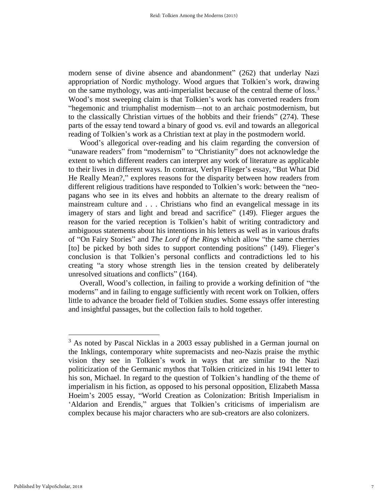modern sense of divine absence and abandonment" (262) that underlay Nazi appropriation of Nordic mythology. Wood argues that Tolkien's work, drawing on the same mythology, was anti-imperialist because of the central theme of loss.<sup>3</sup> Wood's most sweeping claim is that Tolkien's work has converted readers from "hegemonic and triumphalist modernism—not to an archaic postmodernism, but to the classically Christian virtues of the hobbits and their friends" (274). These parts of the essay tend toward a binary of good vs. evil and towards an allegorical reading of Tolkien's work as a Christian text at play in the postmodern world.

Wood's allegorical over-reading and his claim regarding the conversion of "unaware readers" from "modernism" to "Christianity" does not acknowledge the extent to which different readers can interpret any work of literature as applicable to their lives in different ways. In contrast, Verlyn Flieger's essay, "But What Did He Really Mean?," explores reasons for the disparity between how readers from different religious traditions have responded to Tolkien's work: between the "neopagans who see in its elves and hobbits an alternate to the dreary realism of mainstream culture and . . . Christians who find an evangelical message in its imagery of stars and light and bread and sacrifice" (149). Flieger argues the reason for the varied reception is Tolkien's habit of writing contradictory and ambiguous statements about his intentions in his letters as well as in various drafts of "On Fairy Stories" and *The Lord of the Rings* which allow "the same cherries [to] be picked by both sides to support contending positions" (149). Flieger's conclusion is that Tolkien's personal conflicts and contradictions led to his creating "a story whose strength lies in the tension created by deliberately unresolved situations and conflicts" (164).

Overall, Wood's collection, in failing to provide a working definition of "the moderns" and in failing to engage sufficiently with recent work on Tolkien, offers little to advance the broader field of Tolkien studies. Some essays offer interesting and insightful passages, but the collection fails to hold together.

 $\overline{a}$ 

<sup>&</sup>lt;sup>3</sup> As noted by Pascal Nicklas in a 2003 essay published in a German journal on the Inklings, contemporary white supremacists and neo-Nazis praise the mythic vision they see in Tolkien's work in ways that are similar to the Nazi politicization of the Germanic mythos that Tolkien criticized in his 1941 letter to his son, Michael. In regard to the question of Tolkien's handling of the theme of imperialism in his fiction, as opposed to his personal opposition, Elizabeth Massa Hoeim's 2005 essay, "World Creation as Colonization: British Imperialism in 'Aldarion and Erendis," argues that Tolkien's criticisms of imperialism are complex because his major characters who are sub-creators are also colonizers.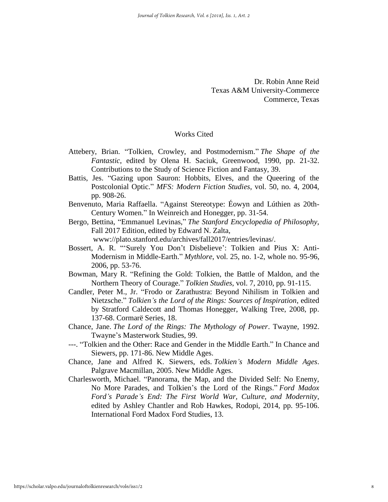Dr. Robin Anne Reid Texas A&M University-Commerce Commerce, Texas

## Works Cited

- Attebery, Brian. "Tolkien, Crowley, and Postmodernism." *The Shape of the Fantastic*, edited by Olena H. Saciuk, Greenwood, 1990, pp. 21-32. Contributions to the Study of Science Fiction and Fantasy, 39.
- Battis, Jes. "Gazing upon Sauron: Hobbits, Elves, and the Queering of the Postcolonial Optic." *MFS: Modern Fiction Studies*, vol. 50, no. 4, 2004, pp. 908-26.
- Benvenuto, Maria Raffaella. "Against Stereotype: Éowyn and Lúthien as 20th-Century Women." In Weinreich and Honegger, pp. 31-54.
- Bergo, Bettina, "Emmanuel Levinas," *The Stanford Encyclopedia of Philosophy,*  Fall 2017 Edition, edited by Edward N. Zalta,

www://plato.stanford.edu/archives/fall2017/entries/levinas/.

- Bossert, A. R. "'Surely You Don't Disbelieve': Tolkien and Pius X: Anti-Modernism in Middle-Earth." *Mythlore*, vol. 25, no. 1-2, whole no. 95-96, 2006, pp. 53-76.
- Bowman, Mary R. "Refining the Gold: Tolkien, the Battle of Maldon, and the Northern Theory of Courage." *Tolkien Studies*, vol. 7, 2010, pp. 91-115.
- Candler, Peter M., Jr. "Frodo or Zarathustra: Beyond Nihilism in Tolkien and Nietzsche." *Tolkien's the Lord of the Rings: Sources of Inspiration*, edited by Stratford Caldecott and Thomas Honegger, Walking Tree, 2008, pp. 137-68. Cormarë Series, 18.
- Chance, Jane. *The Lord of the Rings: The Mythology of Power*. Twayne, 1992. Twayne's Masterwork Studies, 99.
- ---. "Tolkien and the Other: Race and Gender in the Middle Earth." In Chance and Siewers, pp. 171-86. New Middle Ages.
- Chance, Jane and Alfred K. Siewers, eds. *Tolkien's Modern Middle Ages*. Palgrave Macmillan, 2005. New Middle Ages.
- Charlesworth, Michael. "Panorama, the Map, and the Divided Self: No Enemy, No More Parades, and Tolkien's the Lord of the Rings." *Ford Madox Ford's Parade's End: The First World War, Culture, and Modernity*, edited by Ashley Chantler and Rob Hawkes, Rodopi, 2014, pp. 95-106. International Ford Madox Ford Studies, 13.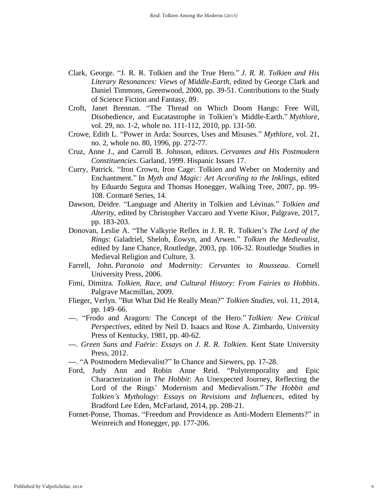- Clark, George. "J. R. R. Tolkien and the True Hero." *J. R. R. Tolkien and His Literary Resonances: Views of Middle-Earth*, edited by George Clark and Daniel Timmons, Greenwood, 2000, pp. 39-51. Contributions to the Study of Science Fiction and Fantasy, 89.
- Croft, Janet Brennan. "The Thread on Which Doom Hangs: Free Will, Disobedience, and Eucatastrophe in Tolkien's Middle-Earth." *Mythlore*, vol. 29, no. 1-2, whole no. 111-112, 2010, pp. 131-50.
- Crowe, Edith L. "Power in Arda: Sources, Uses and Misuses." *Mythlore*, vol. 21, no. 2, whole no. 80, 1996, pp. 272-77.
- Cruz, Anne J., and Carroll B. Johnson, editors. *Cervantes and His Postmodern Constituencies*. Garland, 1999. Hispanic Issues 17.
- Curry, Patrick. "Iron Crown, Iron Cage: Tolkien and Weber on Modernity and Enchantment." In *Myth and Magic: Art According to the Inklings*, edited by Eduardo Segura and Thomas Honegger, Walking Tree, 2007, pp. 99- 108. Cormarë Series, 14.
- Dawson, Deidre. "Language and Alterity in Tolkien and Lévinas." *Tolkien and Alterity*, edited by Christopher Vaccaro and Yvette Kisor, Palgrave, 2017, pp. 183-203.
- Donovan, Leslie A. "The Valkyrie Reflex in J. R. R. Tolkien's *The Lord of the Rings*: Galadriel, Shelob, Éowyn, and Arwen." *Tolkien the Medievalist*, edited by Jane Chance, Routledge, 2003, pp. 106-32. Routledge Studies in Medieval Religion and Culture, 3.
- Farrell, John. *Paranoia and Modernity: Cervantes to Rousseau*. Cornell University Press, 2006.
- Fimi, Dimitra. *Tolkien, Race, and Cultural History: From Fairies to Hobbits*. Palgrave Macmillan, 2009.
- Flieger, Verlyn. "But What Did He Really Mean?" *Tolkien Studies*, vol. 11, 2014, pp. 149–66.
- ---. "Frodo and Aragorn: The Concept of the Hero." *Tolkien: New Critical Perspectives*, edited by Neil D. Isaacs and Rose A. Zimbardo, University Press of Kentucky, 1981, pp. 40-62.
- ---. *Green Suns and Faërie: Essays on J. R. R. Tolkien*. Kent State University Press, 2012.
- ---. "A Postmodern Medievalist?" In Chance and Siewers, pp. 17-28.
- Ford, Judy Ann and Robin Anne Reid. "Polytemporality and Epic Characterization in *The Hobbit*: An Unexpected Journey, Reflecting the Lord of the Rings' Modernism and Medievalism." *The Hobbit and Tolkien's Mythology: Essays on Revisions and Influences*, edited by Bradford Lee Eden, McFarland, 2014, pp. 208-21.
- Fornet-Ponse, Thomas. "Freedom and Providence as Anti-Modern Elements?" in Weinreich and Honegger, pp. 177-206.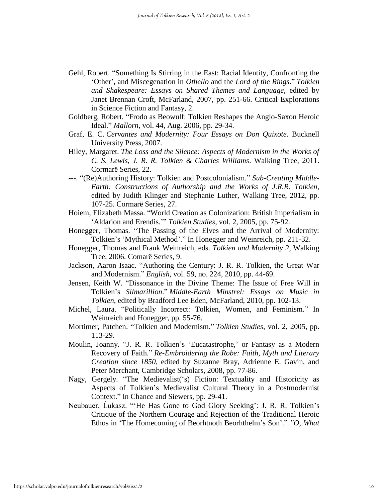- Gehl, Robert. "Something Is Stirring in the East: Racial Identity, Confronting the 'Other', and Miscegenation in *Othello* and the *Lord of the Rings*." *Tolkien and Shakespeare: Essays on Shared Themes and Language*, edited by Janet Brennan Croft, McFarland, 2007, pp. 251-66. Critical Explorations in Science Fiction and Fantasy, 2.
- Goldberg, Robert. "Frodo as Beowulf: Tolkien Reshapes the Anglo-Saxon Heroic Ideal." *Mallorn*, vol. 44, Aug. 2006, pp. 29-34.
- Graf, E. C. *Cervantes and Modernity: Four Essays on Don Quixote*. Bucknell University Press, 2007.
- Hiley, Margaret. *The Loss and the Silence: Aspects of Modernism in the Works of C. S. Lewis, J. R. R. Tolkien & Charles Williams*. Walking Tree, 2011. Cormarë Series, 22.
- ---. "(Re)Authoring History: Tolkien and Postcolonialism." *Sub-Creating Middle-Earth: Constructions of Authorship and the Works of J.R.R. Tolkien,*  edited by Judith Klinger and Stephanie Luther, Walking Tree, 2012, pp. 107-25. Cormarë Series, 27.
- Hoiem, Elizabeth Massa. "World Creation as Colonization: British Imperialism in 'Aldarion and Erendis.'" *Tolkien Studies*, vol. 2, 2005, pp. 75-92.
- Honegger, Thomas. "The Passing of the Elves and the Arrival of Modernity: Tolkien's 'Mythical Method'." In Honegger and Weinreich, pp. 211-32.
- Honegger, Thomas and Frank Weinreich, eds. *Tolkien and Modernity 2*, Walking Tree, 2006. Comarë Series, 9.
- Jackson, Aaron Isaac. "Authoring the Century: J. R. R. Tolkien, the Great War and Modernism." *English*, vol. 59, no. 224, 2010, pp. 44-69.
- Jensen, Keith W. "Dissonance in the Divine Theme: The Issue of Free Will in Tolkien's *Silmarillion*." *Middle-Earth Minstrel: Essays on Music in Tolkien*, edited by Bradford Lee Eden, McFarland, 2010, pp. 102-13.
- Michel, Laura. "Politically Incorrect: Tolkien, Women, and Feminism." In Weinreich and Honegger, pp. 55-76.
- Mortimer, Patchen. "Tolkien and Modernism." *Tolkien Studies*, vol. 2, 2005, pp. 113-29.
- Moulin, Joanny. "J. R. R. Tolkien's 'Eucatastrophe,' or Fantasy as a Modern Recovery of Faith." *Re-Embroidering the Robe: Faith, Myth and Literary Creation since 1850*, edited by Suzanne Bray, Adrienne E. Gavin, and Peter Merchant, Cambridge Scholars, 2008, pp. 77-86.
- Nagy, Gergely. "The Medievalist('s) Fiction: Textuality and Historicity as Aspects of Tolkien's Medievalist Cultural Theory in a Postmodernist Context." In Chance and Siewers, pp. 29-41.
- Neubauer, Ĺukasz. "'He Has Gone to God Glory Seeking': J. R. R. Tolkien's Critique of the Northern Courage and Rejection of the Traditional Heroic Ethos in 'The Homecoming of Beorhtnoth Beorhthelm's Son'." *"O, What*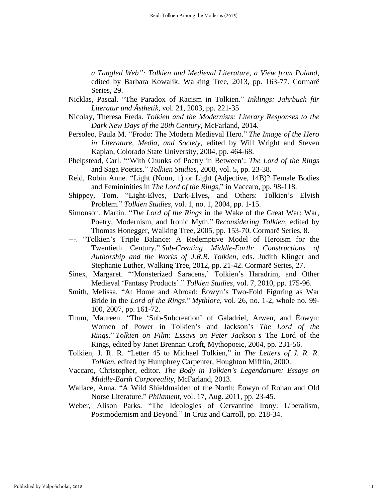*a Tangled Web": Tolkien and Medieval Literature, a View from Poland*, edited by Barbara Kowalik, Walking Tree, 2013, pp. 163-77. Cormarë Series, 29.

- Nicklas, Pascal. "The Paradox of Racism in Tolkien." *Inklings: Jahrbuch für Literatur und Ästhetik*, vol. 21, 2003, pp. 221-35
- Nicolay, Theresa Freda. *Tolkien and the Modernists: Literary Responses to the Dark New Days of the 20th Century*, McFarland, 2014.
- Persoleo, Paula M. "Frodo: The Modern Medieval Hero." *The Image of the Hero in Literature, Media, and Society*, edited by Will Wright and Steven Kaplan, Colorado State University, 2004, pp. 464-68.
- Phelpstead, Carl. "'With Chunks of Poetry in Between': *The Lord of the Rings*  and Saga Poetics." *Tolkien Studies*, 2008, vol. 5, pp. 23-38.
- Reid, Robin Anne. "Light (Noun, 1) or Light (Adjective, 14B)? Female Bodies and Femininities in *The Lord of the Rings*," in Vaccaro, pp. 98-118.
- Shippey, Tom. "Light-Elves, Dark-Elves, and Others: Tolkien's Elvish Problem." *Tolkien Studies*, vol. 1, no. 1, 2004, pp. 1-15.
- Simonson, Martin. "*The Lord of the Rings* in the Wake of the Great War: War, Poetry, Modernism, and Ironic Myth." *Reconsidering Tolkien*, edited by Thomas Honegger, Walking Tree, 2005, pp. 153-70. Cormarë Series, 8.
- ---. "Tolkien's Triple Balance: A Redemptive Model of Heroism for the Twentieth Century." *Sub-Creating Middle-Earth: Constructions of Authorship and the Works of J.R.R. Tolkien*, eds. Judith Klinger and Stephanie Luther, Walking Tree, 2012, pp. 21-42. Cormarë Series, 27.
- Sinex, Margaret. "'Monsterized Saracens,' Tolkien's Haradrim, and Other Medieval 'Fantasy Products'." *Tolkien Studies*, vol. 7, 2010, pp. 175-96.
- Smith, Melissa. "At Home and Abroad: Éowyn's Two-Fold Figuring as War Bride in the *Lord of the Rings*." *Mythlore*, vol. 26, no. 1-2, whole no. 99- 100, 2007, pp. 161-72.
- Thum, Maureen. "The 'Sub-Subcreation' of Galadriel, Arwen, and Éowyn: Women of Power in Tolkien's and Jackson's *The Lord of the Rings*." *Tolkien on Film: Essays on Peter Jackson's* The Lord of the Rings, edited by Janet Brennan Croft, Mythopoeic, 2004, pp. 231-56.
- Tolkien, J. R. R. "Letter 45 to Michael Tolkien," in *The Letters of J. R. R. Tolkien*, edited by Humphrey Carpenter, Houghton Mifflin, 2000.
- Vaccaro, Christopher, editor. *The Body in Tolkien's Legendarium: Essays on Middle-Earth Corporeality*, McFarland, 2013.
- Wallace, Anna. "A Wild Shieldmaiden of the North: Éowyn of Rohan and Old Norse Literature." *Philament*, vol. 17, Aug. 2011, pp. 23-45.
- Weber, Alison Parks. "The Ideologies of Cervantine Irony: Liberalism, Postmodernism and Beyond." In Cruz and Carroll, pp. 218-34.